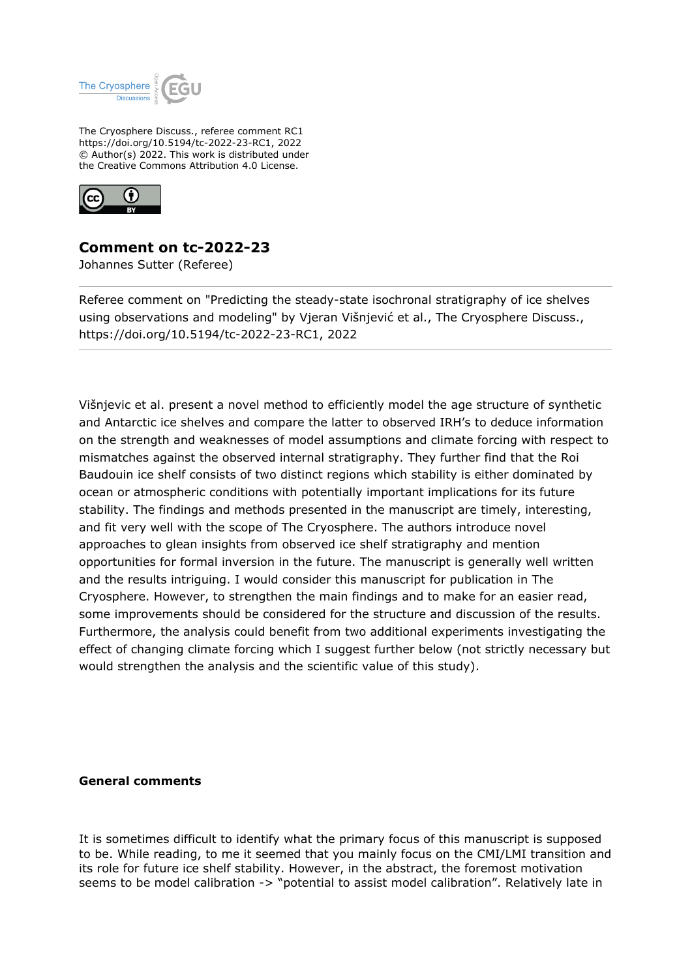

The Cryosphere Discuss., referee comment RC1 https://doi.org/10.5194/tc-2022-23-RC1, 2022 © Author(s) 2022. This work is distributed under the Creative Commons Attribution 4.0 License.



**Comment on tc-2022-23**

Johannes Sutter (Referee)

Referee comment on "Predicting the steady-state isochronal stratigraphy of ice shelves using observations and modeling" by Vjeran Višnjević et al., The Cryosphere Discuss., https://doi.org/10.5194/tc-2022-23-RC1, 2022

Višnjevic et al. present a novel method to efficiently model the age structure of synthetic and Antarctic ice shelves and compare the latter to observed IRH's to deduce information on the strength and weaknesses of model assumptions and climate forcing with respect to mismatches against the observed internal stratigraphy. They further find that the Roi Baudouin ice shelf consists of two distinct regions which stability is either dominated by ocean or atmospheric conditions with potentially important implications for its future stability. The findings and methods presented in the manuscript are timely, interesting, and fit very well with the scope of The Cryosphere. The authors introduce novel approaches to glean insights from observed ice shelf stratigraphy and mention opportunities for formal inversion in the future. The manuscript is generally well written and the results intriguing. I would consider this manuscript for publication in The Cryosphere. However, to strengthen the main findings and to make for an easier read, some improvements should be considered for the structure and discussion of the results. Furthermore, the analysis could benefit from two additional experiments investigating the effect of changing climate forcing which I suggest further below (not strictly necessary but would strengthen the analysis and the scientific value of this study).

## **General comments**

It is sometimes difficult to identify what the primary focus of this manuscript is supposed to be. While reading, to me it seemed that you mainly focus on the CMI/LMI transition and its role for future ice shelf stability. However, in the abstract, the foremost motivation seems to be model calibration -> "potential to assist model calibration". Relatively late in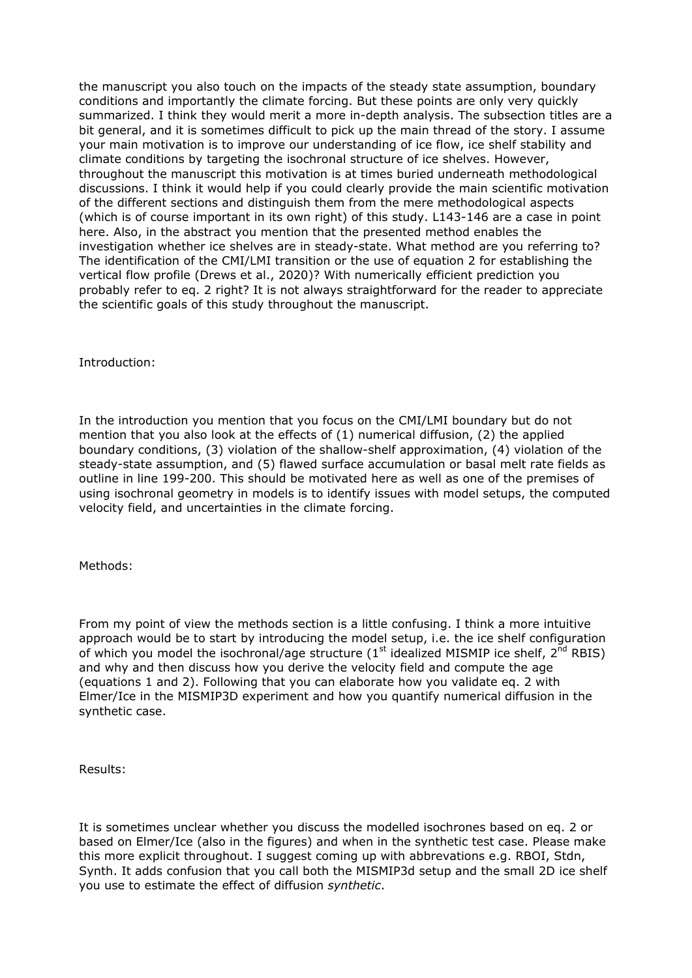the manuscript you also touch on the impacts of the steady state assumption, boundary conditions and importantly the climate forcing. But these points are only very quickly summarized. I think they would merit a more in-depth analysis. The subsection titles are a bit general, and it is sometimes difficult to pick up the main thread of the story. I assume your main motivation is to improve our understanding of ice flow, ice shelf stability and climate conditions by targeting the isochronal structure of ice shelves. However, throughout the manuscript this motivation is at times buried underneath methodological discussions. I think it would help if you could clearly provide the main scientific motivation of the different sections and distinguish them from the mere methodological aspects (which is of course important in its own right) of this study. L143-146 are a case in point here. Also, in the abstract you mention that the presented method enables the investigation whether ice shelves are in steady-state. What method are you referring to? The identification of the CMI/LMI transition or the use of equation 2 for establishing the vertical flow profile (Drews et al., 2020)? With numerically efficient prediction you probably refer to eq. 2 right? It is not always straightforward for the reader to appreciate the scientific goals of this study throughout the manuscript.

Introduction:

In the introduction you mention that you focus on the CMI/LMI boundary but do not mention that you also look at the effects of (1) numerical diffusion, (2) the applied boundary conditions, (3) violation of the shallow-shelf approximation, (4) violation of the steady-state assumption, and (5) flawed surface accumulation or basal melt rate fields as outline in line 199-200. This should be motivated here as well as one of the premises of using isochronal geometry in models is to identify issues with model setups, the computed velocity field, and uncertainties in the climate forcing.

Methods:

From my point of view the methods section is a little confusing. I think a more intuitive approach would be to start by introducing the model setup, i.e. the ice shelf configuration of which you model the isochronal/age structure ( $1<sup>st</sup>$  idealized MISMIP ice shelf,  $2<sup>nd</sup>$  RBIS) and why and then discuss how you derive the velocity field and compute the age (equations 1 and 2). Following that you can elaborate how you validate eq. 2 with Elmer/Ice in the MISMIP3D experiment and how you quantify numerical diffusion in the synthetic case.

Results:

It is sometimes unclear whether you discuss the modelled isochrones based on eq. 2 or based on Elmer/Ice (also in the figures) and when in the synthetic test case. Please make this more explicit throughout. I suggest coming up with abbrevations e.g. RBOI, Stdn, Synth. It adds confusion that you call both the MISMIP3d setup and the small 2D ice shelf you use to estimate the effect of diffusion *synthetic*.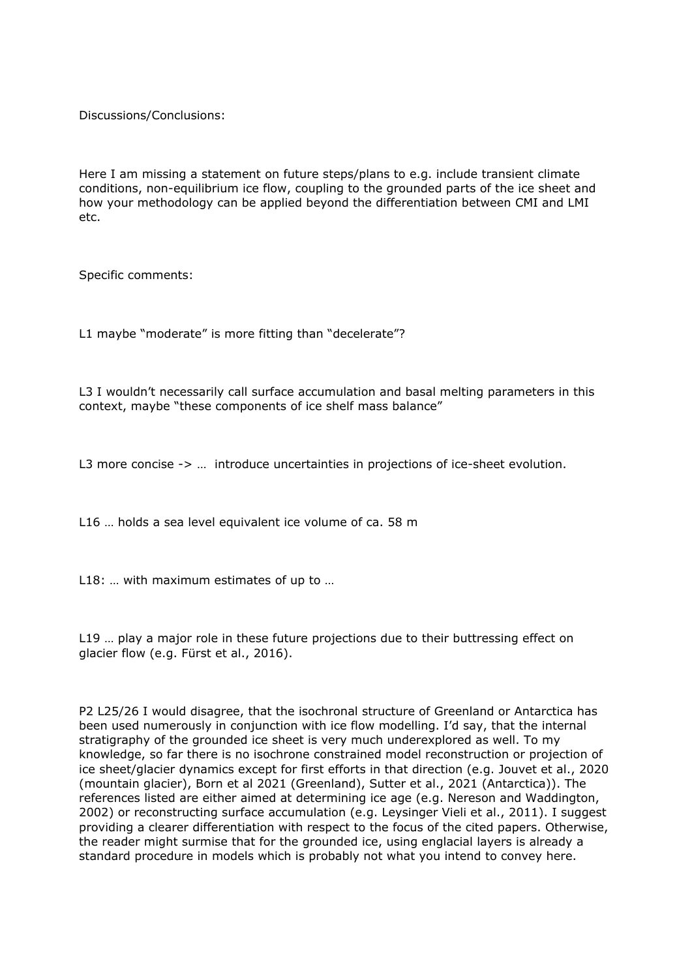Discussions/Conclusions:

Here I am missing a statement on future steps/plans to e.g. include transient climate conditions, non-equilibrium ice flow, coupling to the grounded parts of the ice sheet and how your methodology can be applied beyond the differentiation between CMI and LMI etc.

Specific comments:

L1 maybe "moderate" is more fitting than "decelerate"?

L3 I wouldn't necessarily call surface accumulation and basal melting parameters in this context, maybe "these components of ice shelf mass balance"

L3 more concise  $\rightarrow$  ... introduce uncertainties in projections of ice-sheet evolution.

L16 … holds a sea level equivalent ice volume of ca. 58 m

L18: ... with maximum estimates of up to ...

L19 ... play a major role in these future projections due to their buttressing effect on glacier flow (e.g. Fürst et al., 2016).

P2 L25/26 I would disagree, that the isochronal structure of Greenland or Antarctica has been used numerously in conjunction with ice flow modelling. I'd say, that the internal stratigraphy of the grounded ice sheet is very much underexplored as well. To my knowledge, so far there is no isochrone constrained model reconstruction or projection of ice sheet/glacier dynamics except for first efforts in that direction (e.g. Jouvet et al., 2020 (mountain glacier), Born et al 2021 (Greenland), Sutter et al., 2021 (Antarctica)). The references listed are either aimed at determining ice age (e.g. Nereson and Waddington, 2002) or reconstructing surface accumulation (e.g. Leysinger Vieli et al., 2011). I suggest providing a clearer differentiation with respect to the focus of the cited papers. Otherwise, the reader might surmise that for the grounded ice, using englacial layers is already a standard procedure in models which is probably not what you intend to convey here.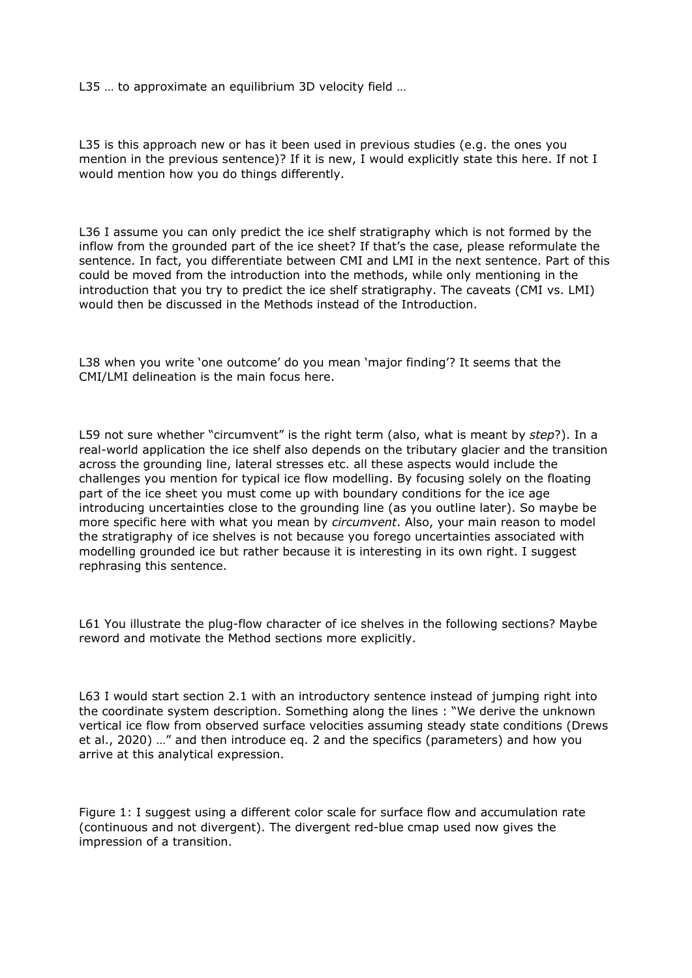L35 ... to approximate an equilibrium 3D velocity field ...

L35 is this approach new or has it been used in previous studies (e.g. the ones you mention in the previous sentence)? If it is new, I would explicitly state this here. If not I would mention how you do things differently.

L36 I assume you can only predict the ice shelf stratigraphy which is not formed by the inflow from the grounded part of the ice sheet? If that's the case, please reformulate the sentence. In fact, you differentiate between CMI and LMI in the next sentence. Part of this could be moved from the introduction into the methods, while only mentioning in the introduction that you try to predict the ice shelf stratigraphy. The caveats (CMI vs. LMI) would then be discussed in the Methods instead of the Introduction.

L38 when you write 'one outcome' do you mean 'major finding'? It seems that the CMI/LMI delineation is the main focus here.

L59 not sure whether "circumvent" is the right term (also, what is meant by *step*?). In a real-world application the ice shelf also depends on the tributary glacier and the transition across the grounding line, lateral stresses etc. all these aspects would include the challenges you mention for typical ice flow modelling. By focusing solely on the floating part of the ice sheet you must come up with boundary conditions for the ice age introducing uncertainties close to the grounding line (as you outline later). So maybe be more specific here with what you mean by *circumvent*. Also, your main reason to model the stratigraphy of ice shelves is not because you forego uncertainties associated with modelling grounded ice but rather because it is interesting in its own right. I suggest rephrasing this sentence.

L61 You illustrate the plug-flow character of ice shelves in the following sections? Maybe reword and motivate the Method sections more explicitly.

L63 I would start section 2.1 with an introductory sentence instead of jumping right into the coordinate system description. Something along the lines : "We derive the unknown vertical ice flow from observed surface velocities assuming steady state conditions (Drews et al., 2020) …" and then introduce eq. 2 and the specifics (parameters) and how you arrive at this analytical expression.

Figure 1: I suggest using a different color scale for surface flow and accumulation rate (continuous and not divergent). The divergent red-blue cmap used now gives the impression of a transition.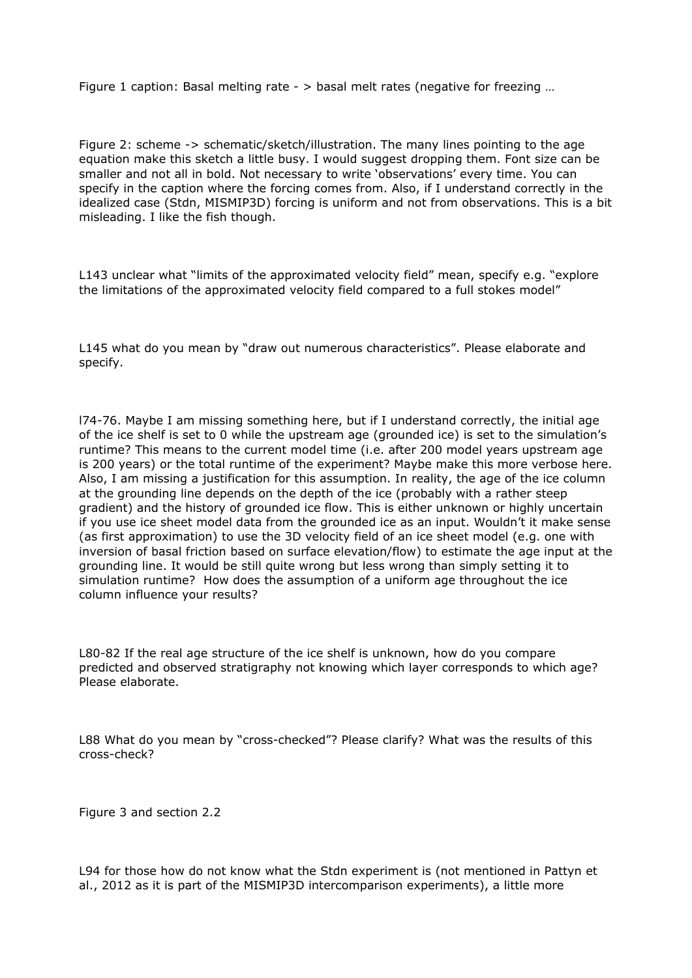Figure 1 caption: Basal melting rate - > basal melt rates (negative for freezing …

Figure 2: scheme -> schematic/sketch/illustration. The many lines pointing to the age equation make this sketch a little busy. I would suggest dropping them. Font size can be smaller and not all in bold. Not necessary to write 'observations' every time. You can specify in the caption where the forcing comes from. Also, if I understand correctly in the idealized case (Stdn, MISMIP3D) forcing is uniform and not from observations. This is a bit misleading. I like the fish though.

L143 unclear what "limits of the approximated velocity field" mean, specify e.g. "explore the limitations of the approximated velocity field compared to a full stokes model"

L145 what do you mean by "draw out numerous characteristics". Please elaborate and specify.

l74-76. Maybe I am missing something here, but if I understand correctly, the initial age of the ice shelf is set to 0 while the upstream age (grounded ice) is set to the simulation's runtime? This means to the current model time (i.e. after 200 model years upstream age is 200 years) or the total runtime of the experiment? Maybe make this more verbose here. Also, I am missing a justification for this assumption. In reality, the age of the ice column at the grounding line depends on the depth of the ice (probably with a rather steep gradient) and the history of grounded ice flow. This is either unknown or highly uncertain if you use ice sheet model data from the grounded ice as an input. Wouldn't it make sense (as first approximation) to use the 3D velocity field of an ice sheet model (e.g. one with inversion of basal friction based on surface elevation/flow) to estimate the age input at the grounding line. It would be still quite wrong but less wrong than simply setting it to simulation runtime? How does the assumption of a uniform age throughout the ice column influence your results?

L80-82 If the real age structure of the ice shelf is unknown, how do you compare predicted and observed stratigraphy not knowing which layer corresponds to which age? Please elaborate.

L88 What do you mean by "cross-checked"? Please clarify? What was the results of this cross-check?

Figure 3 and section 2.2

L94 for those how do not know what the Stdn experiment is (not mentioned in Pattyn et al., 2012 as it is part of the MISMIP3D intercomparison experiments), a little more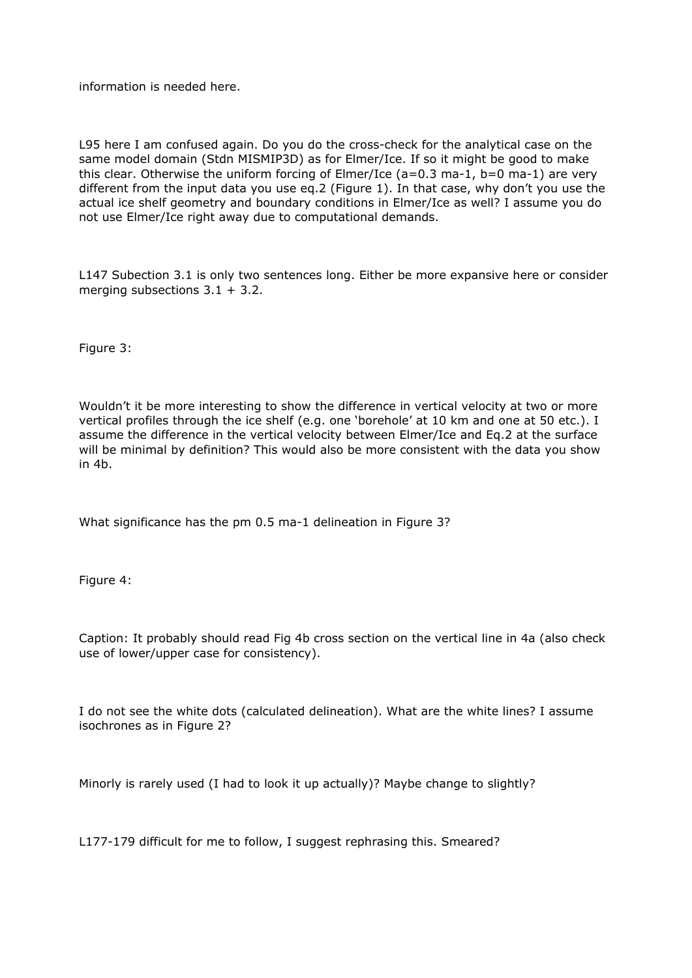information is needed here.

L95 here I am confused again. Do you do the cross-check for the analytical case on the same model domain (Stdn MISMIP3D) as for Elmer/Ice. If so it might be good to make this clear. Otherwise the uniform forcing of Elmer/Ice ( $a=0.3$  ma-1,  $b=0$  ma-1) are very different from the input data you use eq.2 (Figure 1). In that case, why don't you use the actual ice shelf geometry and boundary conditions in Elmer/Ice as well? I assume you do not use Elmer/Ice right away due to computational demands.

L147 Subection 3.1 is only two sentences long. Either be more expansive here or consider merging subsections 3.1 + 3.2.

Figure 3:

Wouldn't it be more interesting to show the difference in vertical velocity at two or more vertical profiles through the ice shelf (e.g. one 'borehole' at 10 km and one at 50 etc.). I assume the difference in the vertical velocity between Elmer/Ice and Eq.2 at the surface will be minimal by definition? This would also be more consistent with the data you show in 4b.

What significance has the pm 0.5 ma-1 delineation in Figure 3?

Figure 4:

Caption: It probably should read Fig 4b cross section on the vertical line in 4a (also check use of lower/upper case for consistency).

I do not see the white dots (calculated delineation). What are the white lines? I assume isochrones as in Figure 2?

Minorly is rarely used (I had to look it up actually)? Maybe change to slightly?

L177-179 difficult for me to follow, I suggest rephrasing this. Smeared?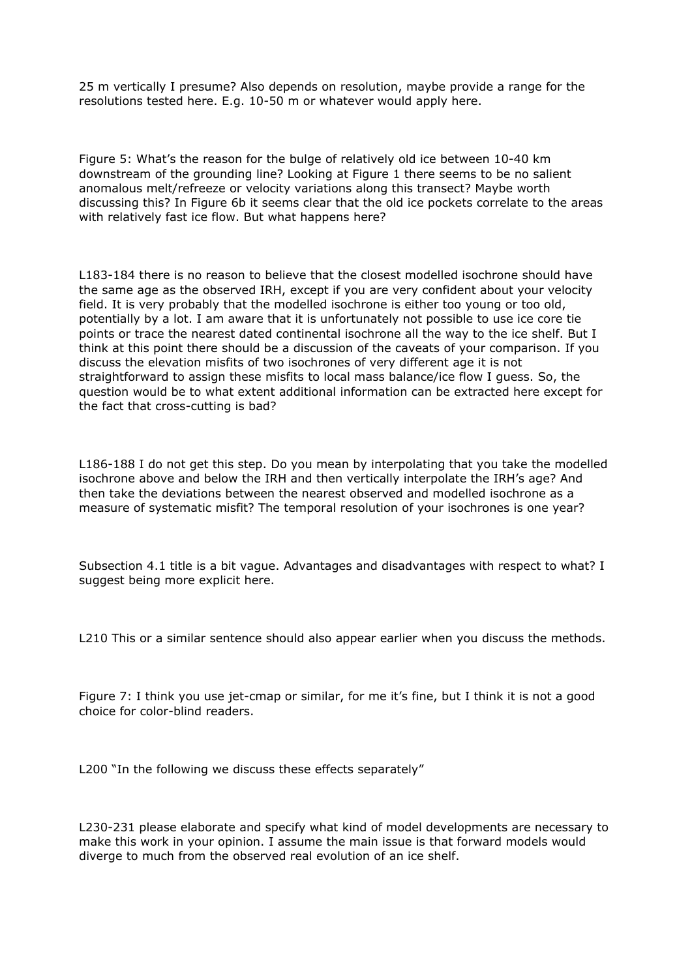25 m vertically I presume? Also depends on resolution, maybe provide a range for the resolutions tested here. E.g. 10-50 m or whatever would apply here.

Figure 5: What's the reason for the bulge of relatively old ice between 10-40 km downstream of the grounding line? Looking at Figure 1 there seems to be no salient anomalous melt/refreeze or velocity variations along this transect? Maybe worth discussing this? In Figure 6b it seems clear that the old ice pockets correlate to the areas with relatively fast ice flow. But what happens here?

L183-184 there is no reason to believe that the closest modelled isochrone should have the same age as the observed IRH, except if you are very confident about your velocity field. It is very probably that the modelled isochrone is either too young or too old, potentially by a lot. I am aware that it is unfortunately not possible to use ice core tie points or trace the nearest dated continental isochrone all the way to the ice shelf. But I think at this point there should be a discussion of the caveats of your comparison. If you discuss the elevation misfits of two isochrones of very different age it is not straightforward to assign these misfits to local mass balance/ice flow I guess. So, the question would be to what extent additional information can be extracted here except for the fact that cross-cutting is bad?

L186-188 I do not get this step. Do you mean by interpolating that you take the modelled isochrone above and below the IRH and then vertically interpolate the IRH's age? And then take the deviations between the nearest observed and modelled isochrone as a measure of systematic misfit? The temporal resolution of your isochrones is one year?

Subsection 4.1 title is a bit vague. Advantages and disadvantages with respect to what? I suggest being more explicit here.

L210 This or a similar sentence should also appear earlier when you discuss the methods.

Figure 7: I think you use jet-cmap or similar, for me it's fine, but I think it is not a good choice for color-blind readers.

L200 "In the following we discuss these effects separately"

L230-231 please elaborate and specify what kind of model developments are necessary to make this work in your opinion. I assume the main issue is that forward models would diverge to much from the observed real evolution of an ice shelf.